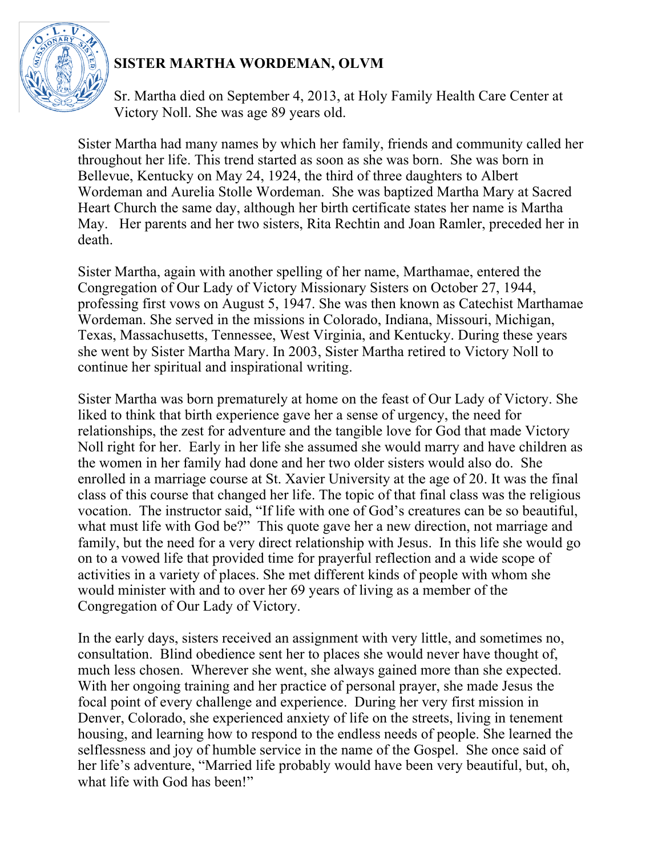

## **SISTER MARTHA WORDEMAN, OLVM**

Sr. Martha died on September 4, 2013, at Holy Family Health Care Center at Victory Noll. She was age 89 years old.

Sister Martha had many names by which her family, friends and community called her throughout her life. This trend started as soon as she was born. She was born in Bellevue, Kentucky on May 24, 1924, the third of three daughters to Albert Wordeman and Aurelia Stolle Wordeman. She was baptized Martha Mary at Sacred Heart Church the same day, although her birth certificate states her name is Martha May. Her parents and her two sisters, Rita Rechtin and Joan Ramler, preceded her in death.

Sister Martha, again with another spelling of her name, Marthamae, entered the Congregation of Our Lady of Victory Missionary Sisters on October 27, 1944, professing first vows on August 5, 1947. She was then known as Catechist Marthamae Wordeman. She served in the missions in Colorado, Indiana, Missouri, Michigan, Texas, Massachusetts, Tennessee, West Virginia, and Kentucky. During these years she went by Sister Martha Mary. In 2003, Sister Martha retired to Victory Noll to continue her spiritual and inspirational writing.

Sister Martha was born prematurely at home on the feast of Our Lady of Victory. She liked to think that birth experience gave her a sense of urgency, the need for relationships, the zest for adventure and the tangible love for God that made Victory Noll right for her. Early in her life she assumed she would marry and have children as the women in her family had done and her two older sisters would also do. She enrolled in a marriage course at St. Xavier University at the age of 20. It was the final class of this course that changed her life. The topic of that final class was the religious vocation. The instructor said, "If life with one of God's creatures can be so beautiful, what must life with God be?" This quote gave her a new direction, not marriage and family, but the need for a very direct relationship with Jesus. In this life she would go on to a vowed life that provided time for prayerful reflection and a wide scope of activities in a variety of places. She met different kinds of people with whom she would minister with and to over her 69 years of living as a member of the Congregation of Our Lady of Victory.

In the early days, sisters received an assignment with very little, and sometimes no, consultation. Blind obedience sent her to places she would never have thought of, much less chosen. Wherever she went, she always gained more than she expected. With her ongoing training and her practice of personal prayer, she made Jesus the focal point of every challenge and experience. During her very first mission in Denver, Colorado, she experienced anxiety of life on the streets, living in tenement housing, and learning how to respond to the endless needs of people. She learned the selflessness and joy of humble service in the name of the Gospel. She once said of her life's adventure, "Married life probably would have been very beautiful, but, oh, what life with God has been!"